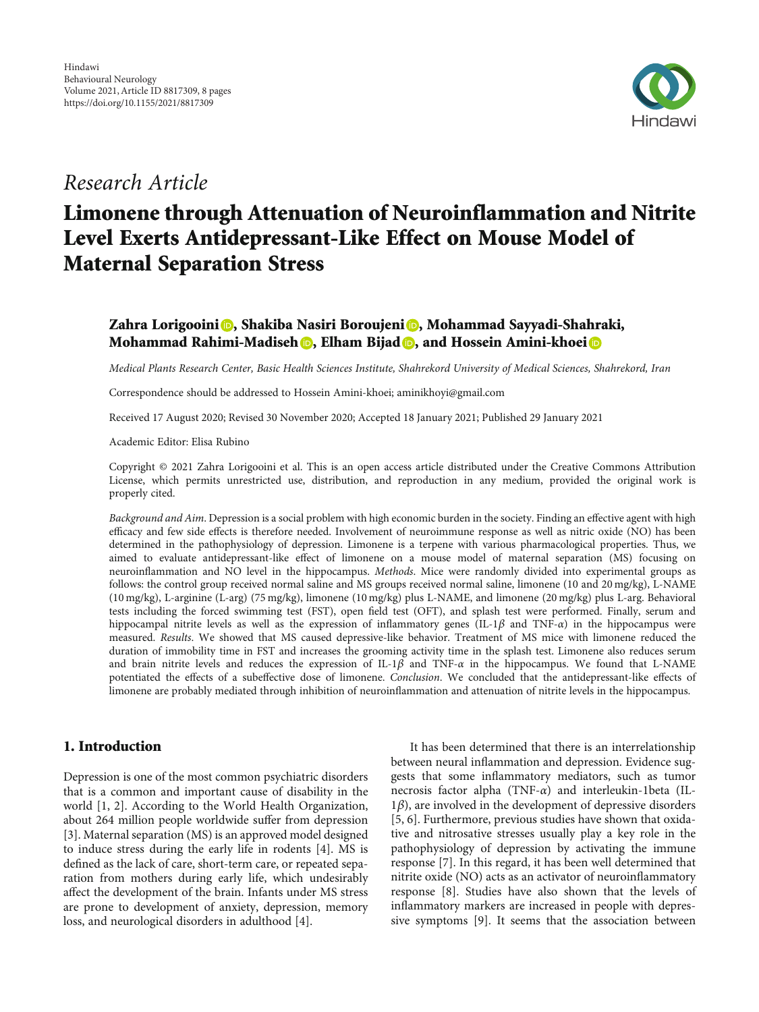

## Research Article

# Limonene through Attenuation of Neuroinflammation and Nitrite Level Exerts Antidepressant-Like Effect on Mouse Model of Maternal Separation Stress

### Zahra Lorigooini **(b**[,](https://orcid.org/0000-0003-0844-7571) Shakiba Nasiri Boroujeni (**b**, Mohammad Sayyadi-Shahraki, Mohammad Rahimi-Madiseh (D, Elham Bijad (D, and Hossein Amini-khoei (D

Medical Plants Research Center, Basic Health Sciences Institute, Shahrekord University of Medical Sciences, Shahrekord, Iran

Correspondence should be addressed to Hossein Amini-khoei; aminikhoyi@gmail.com

Received 17 August 2020; Revised 30 November 2020; Accepted 18 January 2021; Published 29 January 2021

Academic Editor: Elisa Rubino

Copyright © 2021 Zahra Lorigooini et al. This is an open access article distributed under the [Creative Commons Attribution](https://creativecommons.org/licenses/by/4.0/) [License,](https://creativecommons.org/licenses/by/4.0/) which permits unrestricted use, distribution, and reproduction in any medium, provided the original work is properly cited.

Background and Aim. Depression is a social problem with high economic burden in the society. Finding an effective agent with high efficacy and few side effects is therefore needed. Involvement of neuroimmune response as well as nitric oxide (NO) has been determined in the pathophysiology of depression. Limonene is a terpene with various pharmacological properties. Thus, we aimed to evaluate antidepressant-like effect of limonene on a mouse model of maternal separation (MS) focusing on neuroinflammation and NO level in the hippocampus. Methods. Mice were randomly divided into experimental groups as follows: the control group received normal saline and MS groups received normal saline, limonene (10 and 20 mg/kg), L-NAME (10 mg/kg), L-arginine (L-arg) (75 mg/kg), limonene (10 mg/kg) plus L-NAME, and limonene (20 mg/kg) plus L-arg. Behavioral tests including the forced swimming test (FST), open field test (OFT), and splash test were performed. Finally, serum and hippocampal nitrite levels as well as the expression of inflammatory genes (IL-1*β* and TNF-*α*) in the hippocampus were measured. Results. We showed that MS caused depressive-like behavior. Treatment of MS mice with limonene reduced the duration of immobility time in FST and increases the grooming activity time in the splash test. Limonene also reduces serum and brain nitrite levels and reduces the expression of IL-1*β* and TNF-*α* in the hippocampus. We found that L-NAME potentiated the effects of a subeffective dose of limonene. Conclusion. We concluded that the antidepressant-like effects of limonene are probably mediated through inhibition of neuroinflammation and attenuation of nitrite levels in the hippocampus.

#### 1. Introduction

Depression is one of the most common psychiatric disorders that is a common and important cause of disability in the world [[1, 2](#page-6-0)]. According to the World Health Organization, about 264 million people worldwide suffer from depression [\[3](#page-6-0)]. Maternal separation (MS) is an approved model designed to induce stress during the early life in rodents [\[4\]](#page-6-0). MS is defined as the lack of care, short-term care, or repeated separation from mothers during early life, which undesirably affect the development of the brain. Infants under MS stress are prone to development of anxiety, depression, memory loss, and neurological disorders in adulthood [[4](#page-6-0)].

It has been determined that there is an interrelationship between neural inflammation and depression. Evidence suggests that some inflammatory mediators, such as tumor necrosis factor alpha (TNF-*α*) and interleukin-1beta (IL-1*β*), are involved in the development of depressive disorders [\[5](#page-6-0), [6\]](#page-6-0). Furthermore, previous studies have shown that oxidative and nitrosative stresses usually play a key role in the pathophysiology of depression by activating the immune response [[7\]](#page-6-0). In this regard, it has been well determined that nitrite oxide (NO) acts as an activator of neuroinflammatory response [\[8](#page-6-0)]. Studies have also shown that the levels of inflammatory markers are increased in people with depressive symptoms [[9\]](#page-6-0). It seems that the association between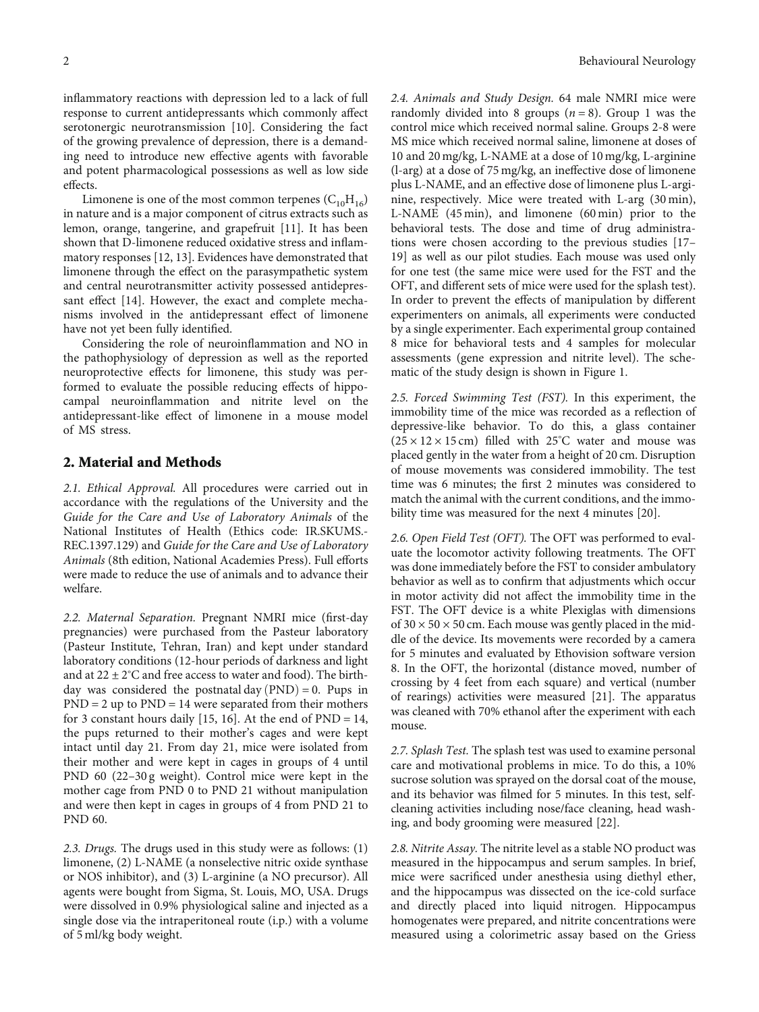inflammatory reactions with depression led to a lack of full response to current antidepressants which commonly affect serotonergic neurotransmission [\[10\]](#page-6-0). Considering the fact of the growing prevalence of depression, there is a demanding need to introduce new effective agents with favorable and potent pharmacological possessions as well as low side effects.

Limonene is one of the most common terpenes  $(C_{10}H_{16})$ in nature and is a major component of citrus extracts such as lemon, orange, tangerine, and grapefruit [[11\]](#page-6-0). It has been shown that D-limonene reduced oxidative stress and inflammatory responses [[12](#page-6-0), [13](#page-6-0)]. Evidences have demonstrated that limonene through the effect on the parasympathetic system and central neurotransmitter activity possessed antidepressant effect [\[14\]](#page-6-0). However, the exact and complete mechanisms involved in the antidepressant effect of limonene have not yet been fully identified.

Considering the role of neuroinflammation and NO in the pathophysiology of depression as well as the reported neuroprotective effects for limonene, this study was performed to evaluate the possible reducing effects of hippocampal neuroinflammation and nitrite level on the antidepressant-like effect of limonene in a mouse model of MS stress.

#### 2. Material and Methods

2.1. Ethical Approval. All procedures were carried out in accordance with the regulations of the University and the Guide for the Care and Use of Laboratory Animals of the National Institutes of Health (Ethics code: IR.SKUMS.- REC.1397.129) and Guide for the Care and Use of Laboratory Animals (8th edition, National Academies Press). Full efforts were made to reduce the use of animals and to advance their welfare.

2.2. Maternal Separation. Pregnant NMRI mice (first-day pregnancies) were purchased from the Pasteur laboratory (Pasteur Institute, Tehran, Iran) and kept under standard laboratory conditions (12-hour periods of darkness and light and at  $22 \pm 2^{\circ}$ C and free access to water and food). The birthday was considered the postnatal day  $(PND) = 0$ . Pups in  $PND = 2$  up to  $PND = 14$  were separated from their mothers for 3 constant hours daily  $[15, 16]$  $[15, 16]$ . At the end of  $PND = 14$ , the pups returned to their mother's cages and were kept intact until day 21. From day 21, mice were isolated from their mother and were kept in cages in groups of 4 until PND 60 (22-30 g weight). Control mice were kept in the mother cage from PND 0 to PND 21 without manipulation and were then kept in cages in groups of 4 from PND 21 to PND 60.

2.3. Drugs. The drugs used in this study were as follows: (1) limonene, (2) L-NAME (a nonselective nitric oxide synthase or NOS inhibitor), and (3) L-arginine (a NO precursor). All agents were bought from Sigma, St. Louis, MO, USA. Drugs were dissolved in 0.9% physiological saline and injected as a single dose via the intraperitoneal route (i.p.) with a volume of 5 ml/kg body weight.

2.4. Animals and Study Design. 64 male NMRI mice were randomly divided into 8 groups  $(n = 8)$ . Group 1 was the control mice which received normal saline. Groups 2-8 were MS mice which received normal saline, limonene at doses of 10 and 20 mg/kg, L-NAME at a dose of 10 mg/kg, L-arginine (l-arg) at a dose of 75 mg/kg, an ineffective dose of limonene plus L-NAME, and an effective dose of limonene plus L-arginine, respectively. Mice were treated with L-arg (30 min), L-NAME (45 min), and limonene (60 min) prior to the behavioral tests. The dose and time of drug administrations were chosen according to the previous studies [\[17](#page-6-0)– [19\]](#page-6-0) as well as our pilot studies. Each mouse was used only for one test (the same mice were used for the FST and the OFT, and different sets of mice were used for the splash test). In order to prevent the effects of manipulation by different experimenters on animals, all experiments were conducted by a single experimenter. Each experimental group contained 8 mice for behavioral tests and 4 samples for molecular assessments (gene expression and nitrite level). The schematic of the study design is shown in Figure [1](#page-2-0).

2.5. Forced Swimming Test (FST). In this experiment, the immobility time of the mice was recorded as a reflection of depressive-like behavior. To do this, a glass container  $(25 \times 12 \times 15 \text{ cm})$  filled with  $25^{\circ}$ C water and mouse was placed gently in the water from a height of 20 cm. Disruption of mouse movements was considered immobility. The test time was 6 minutes; the first 2 minutes was considered to match the animal with the current conditions, and the immobility time was measured for the next 4 minutes [[20](#page-6-0)].

2.6. Open Field Test (OFT). The OFT was performed to evaluate the locomotor activity following treatments. The OFT was done immediately before the FST to consider ambulatory behavior as well as to confirm that adjustments which occur in motor activity did not affect the immobility time in the FST. The OFT device is a white Plexiglas with dimensions of  $30 \times 50 \times 50$  cm. Each mouse was gently placed in the middle of the device. Its movements were recorded by a camera for 5 minutes and evaluated by Ethovision software version 8. In the OFT, the horizontal (distance moved, number of crossing by 4 feet from each square) and vertical (number of rearings) activities were measured [[21](#page-6-0)]. The apparatus was cleaned with 70% ethanol after the experiment with each mouse.

2.7. Splash Test. The splash test was used to examine personal care and motivational problems in mice. To do this, a 10% sucrose solution was sprayed on the dorsal coat of the mouse, and its behavior was filmed for 5 minutes. In this test, selfcleaning activities including nose/face cleaning, head washing, and body grooming were measured [[22](#page-7-0)].

2.8. Nitrite Assay. The nitrite level as a stable NO product was measured in the hippocampus and serum samples. In brief, mice were sacrificed under anesthesia using diethyl ether, and the hippocampus was dissected on the ice-cold surface and directly placed into liquid nitrogen. Hippocampus homogenates were prepared, and nitrite concentrations were measured using a colorimetric assay based on the Griess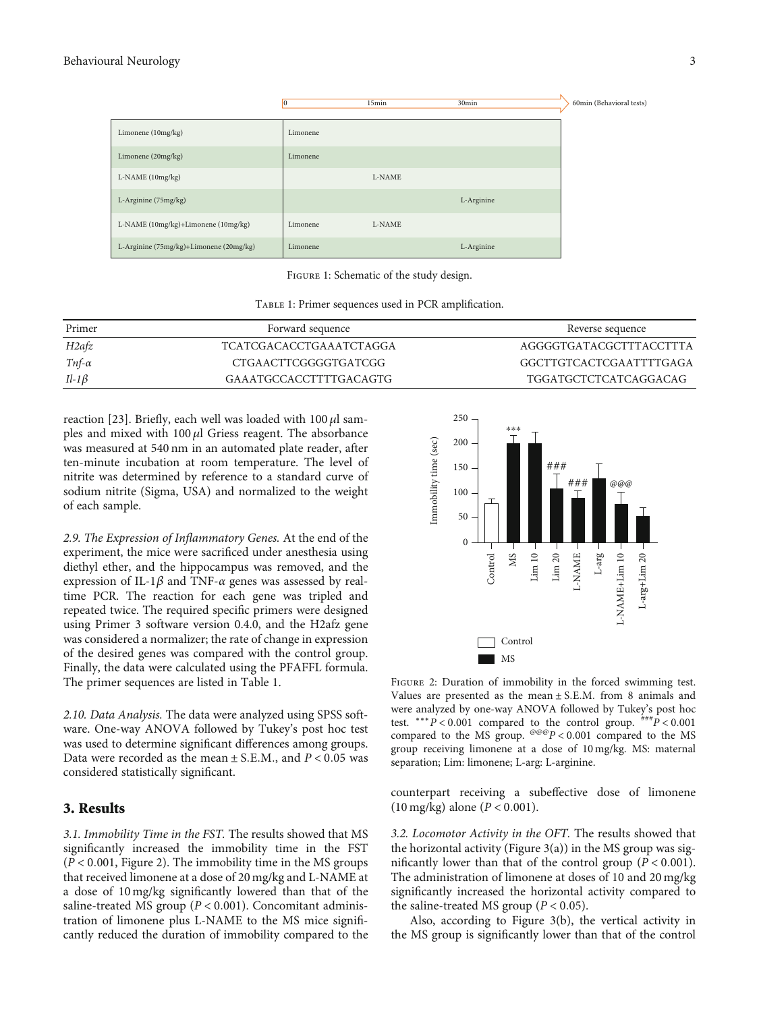<span id="page-2-0"></span>

Figure 1: Schematic of the study design.

|  |  | TABLE 1: Primer sequences used in PCR amplification. |
|--|--|------------------------------------------------------|
|  |  |                                                      |

| Primer            | Forward sequence               | Reverse sequence             |
|-------------------|--------------------------------|------------------------------|
| H <sub>2afz</sub> | <b>TCATCGACACCTGAAATCTAGGA</b> | AGGGGTGATACGCTTTACCTTTA      |
| Tnf- $\alpha$     | CTGAACTTCGGGGTGATCGG           | GGCTTGTCACTCGAATTTTGAGA      |
| $Il-1\beta$       | GAAATGCCACCTTTTGACAGTG         | <b>TGGATGCTCTCATCAGGACAG</b> |

reaction [[23](#page-7-0)]. Briefly, each well was loaded with 100 *μ*l samples and mixed with 100 *μ*l Griess reagent. The absorbance was measured at 540 nm in an automated plate reader, after ten-minute incubation at room temperature. The level of nitrite was determined by reference to a standard curve of sodium nitrite (Sigma, USA) and normalized to the weight of each sample.

2.9. The Expression of Inflammatory Genes. At the end of the experiment, the mice were sacrificed under anesthesia using diethyl ether, and the hippocampus was removed, and the expression of IL-1*β* and TNF-*α* genes was assessed by realtime PCR. The reaction for each gene was tripled and repeated twice. The required specific primers were designed using Primer 3 software version 0.4.0, and the H2afz gene was considered a normalizer; the rate of change in expression of the desired genes was compared with the control group. Finally, the data were calculated using the PFAFFL formula. The primer sequences are listed in Table 1.

2.10. Data Analysis. The data were analyzed using SPSS software. One-way ANOVA followed by Tukey's post hoc test was used to determine significant differences among groups. Data were recorded as the mean ± S*:*E*:*M*:*, and *P* < 0*:*05 was considered statistically significant.

#### 3. Results

3.1. Immobility Time in the FST. The results showed that MS significantly increased the immobility time in the FST (*P* < 0*:*001, Figure 2). The immobility time in the MS groups that received limonene at a dose of 20 mg/kg and L-NAME at a dose of 10 mg/kg significantly lowered than that of the saline-treated MS group (*P* < 0*:*001). Concomitant administration of limonene plus L-NAME to the MS mice significantly reduced the duration of immobility compared to the



Figure 2: Duration of immobility in the forced swimming test. Values are presented as the mean ± S*:*E*:*M*:* from 8 animals and were analyzed by one-way ANOVA followed by Tukey's post hoc test. ∗∗∗*P* < 0*:*001 compared to the control group. ###*P* < 0*:*001 compared to the MS group.  $e^{i\theta}P < 0.001$  compared to the MS group receiving limonene at a dose of 10 mg/kg. MS: maternal separation; Lim: limonene; L-arg: L-arginine.

counterpart receiving a subeffective dose of limonene (10 mg/kg) alone (*P* < 0*:*001).

3.2. Locomotor Activity in the OFT. The results showed that the horizontal activity (Figure  $3(a)$ ) in the MS group was significantly lower than that of the control group  $(P < 0.001)$ . The administration of limonene at doses of 10 and 20 mg/kg significantly increased the horizontal activity compared to the saline-treated MS group ( $P < 0.05$ ).

Also, according to Figure [3\(b\)](#page-3-0), the vertical activity in the MS group is significantly lower than that of the control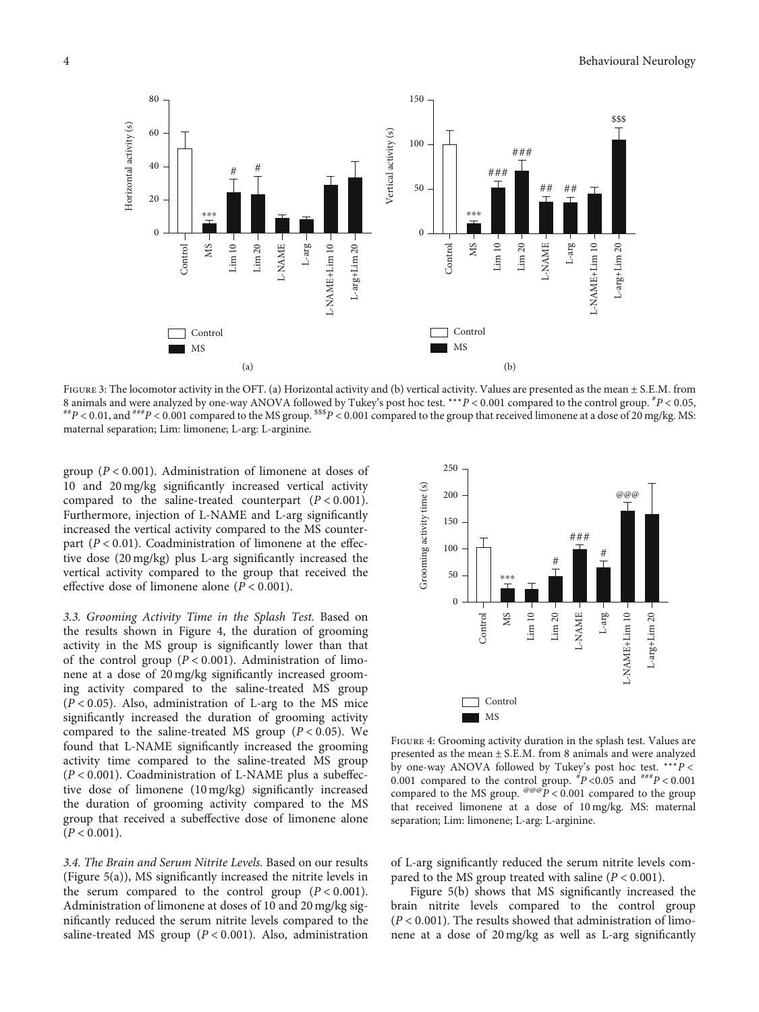<span id="page-3-0"></span>

Figure 3: The locomotor activity in the OFT. (a) Horizontal activity and (b) vertical activity. Values are presented as the mean ± S*:*E*:*M*:* from 8 animals and were analyzed by one-way ANOVA followed by Tukey's post hoc test. \*\*\*P < 0.001 compared to the control group.  $^{*}P$  < 0.05,  $^{**}P$  < 0.01, and  $^{***}P$  < 0.001 compared to the MS group.  $^{*}S^2$  < 0.001 comp maternal separation; Lim: limonene; L-arg: L-arginine.

group (*P* < 0*:*001). Administration of limonene at doses of 10 and 20 mg/kg significantly increased vertical activity compared to the saline-treated counterpart (*P* < 0*:*001). Furthermore, injection of L-NAME and L-arg significantly increased the vertical activity compared to the MS counterpart  $(P < 0.01)$ . Coadministration of limonene at the effective dose (20 mg/kg) plus L-arg significantly increased the vertical activity compared to the group that received the effective dose of limonene alone (*P* < 0*:*001).

3.3. Grooming Activity Time in the Splash Test. Based on the results shown in Figure 4, the duration of grooming activity in the MS group is significantly lower than that of the control group (*P* < 0*:*001). Administration of limonene at a dose of 20 mg/kg significantly increased grooming activity compared to the saline-treated MS group (*P* < 0*:*05). Also, administration of L-arg to the MS mice significantly increased the duration of grooming activity compared to the saline-treated MS group (*P* < 0*:*05). We found that L-NAME significantly increased the grooming activity time compared to the saline-treated MS group (*P* < 0*:*001). Coadministration of L-NAME plus a subeffective dose of limonene (10 mg/kg) significantly increased the duration of grooming activity compared to the MS group that received a subeffective dose of limonene alone  $(P < 0.001)$ .

3.4. The Brain and Serum Nitrite Levels. Based on our results (Figure [5\(a\)\)](#page-4-0), MS significantly increased the nitrite levels in the serum compared to the control group  $(P < 0.001)$ . Administration of limonene at doses of 10 and 20 mg/kg significantly reduced the serum nitrite levels compared to the saline-treated MS group ( $P < 0.001$ ). Also, administration



Figure 4: Grooming activity duration in the splash test. Values are presented as the mean ± S*:*E*:*M*:* from 8 animals and were analyzed by one-way ANOVA followed by Tukey's post hoc test. ∗∗∗*P* < 0.001 compared to the control group.  $^{#}P$  <0.05 and  $^{#}$ # $^{#}P$  < 0.001 compared to the MS group.  $e^{@@P}$  < 0.001 compared to the group that received limonene at a dose of 10 mg/kg. MS: maternal separation; Lim: limonene; L-arg: L-arginine.

of L-arg significantly reduced the serum nitrite levels compared to the MS group treated with saline  $(P < 0.001)$ .

Figure [5\(b\)](#page-4-0) shows that MS significantly increased the brain nitrite levels compared to the control group (*P* < 0*:*001). The results showed that administration of limonene at a dose of 20 mg/kg as well as L-arg significantly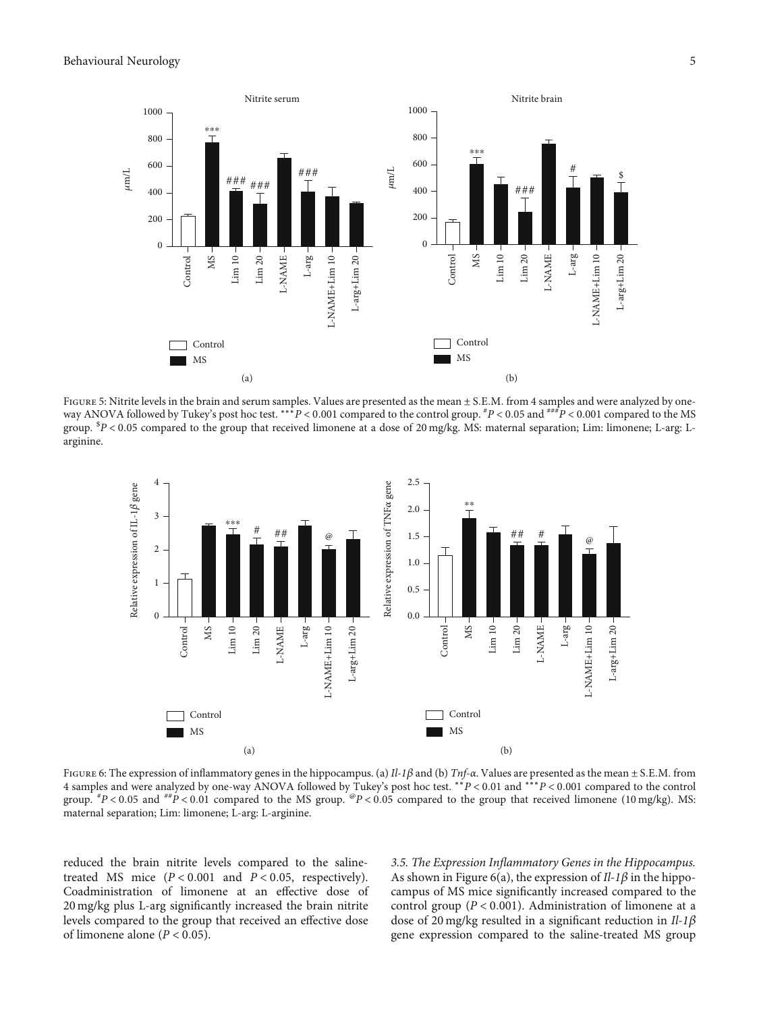<span id="page-4-0"></span>

FIGURE 5: Nitrite levels in the brain and serum samples. Values are presented as the mean  $\pm$  S.E.M. from 4 samples and were analyzed by oneway ANOVA followed by Tukey's post hoc test. ∗∗∗*P* < 0*:*001 compared to the control group. # *P* < 0*:*05 and ###*P* < 0*:*001 compared to the MS group. \$ *P* < 0*:*05 compared to the group that received limonene at a dose of 20 mg/kg. MS: maternal separation; Lim: limonene; L-arg: Larginine.



Figure 6: The expression of inflammatory genes in the hippocampus. (a) Il-1*<sup>β</sup>* and (b) Tnf-*α*. Values are presented as the mean ± S*:*E*:*M*:* from 4 samples and were analyzed by one-way ANOVA followed by Tukey's post hoc test. ∗∗*P* < 0*:*01 and ∗∗∗*P* < 0*:*001 compared to the control group. # *P* < 0*:*05 and ##*P* < 0*:*01 compared to the MS group. @*P* < 0*:*05 compared to the group that received limonene (10 mg/kg). MS: maternal separation; Lim: limonene; L-arg: L-arginine.

reduced the brain nitrite levels compared to the salinetreated MS mice (*P* < 0*:*001 and *P* < 0*:*05, respectively). Coadministration of limonene at an effective dose of 20 mg/kg plus L-arg significantly increased the brain nitrite levels compared to the group that received an effective dose of limonene alone  $(P < 0.05)$ .

3.5. The Expression Inflammatory Genes in the Hippocampus. As shown in Figure 6(a), the expression of Il-1*β* in the hippocampus of MS mice significantly increased compared to the control group (*P* < 0*:*001). Administration of limonene at a dose of 20 mg/kg resulted in a significant reduction in Il-1*β* gene expression compared to the saline-treated MS group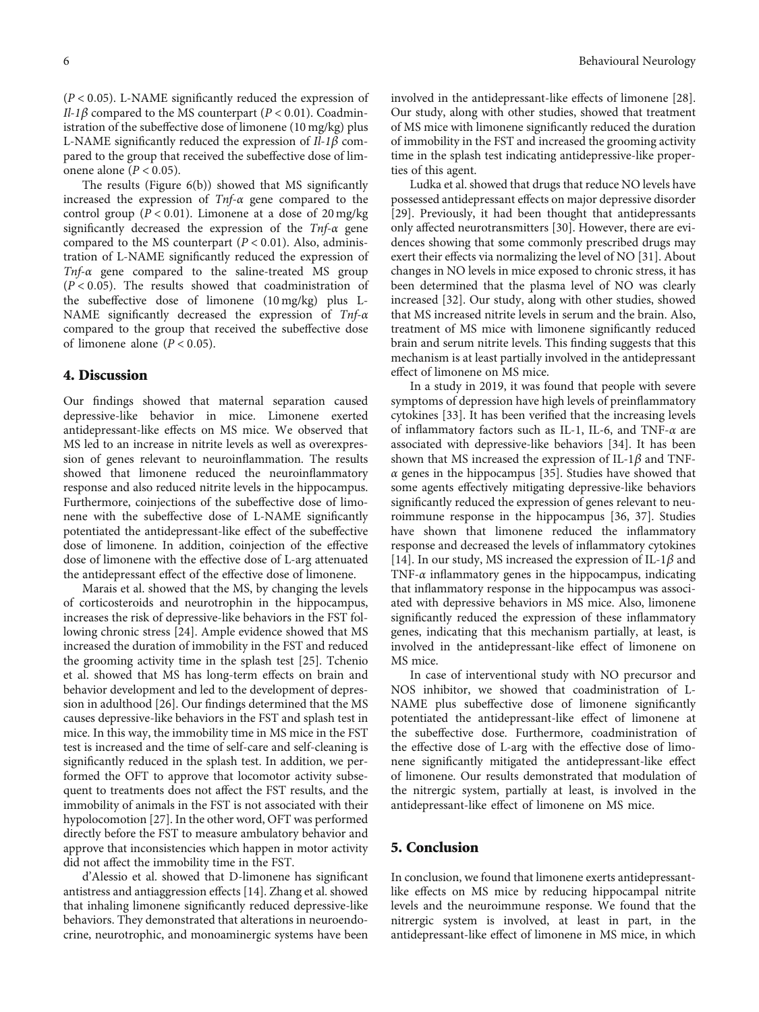(*P* < 0*:*05). L-NAME significantly reduced the expression of Il-1 $\beta$  compared to the MS counterpart ( $P < 0.01$ ). Coadministration of the subeffective dose of limonene (10 mg/kg) plus L-NAME significantly reduced the expression of Il-1*β* compared to the group that received the subeffective dose of limonene alone (*P* < 0*:*05).

The results (Figure [6\(b\)\)](#page-4-0) showed that MS significantly increased the expression of Tnf-*α* gene compared to the control group ( $P < 0.01$ ). Limonene at a dose of 20 mg/kg significantly decreased the expression of the Tnf-*α* gene compared to the MS counterpart (*P* < 0*:*01). Also, administration of L-NAME significantly reduced the expression of Tnf-*α* gene compared to the saline-treated MS group  $(P < 0.05)$ . The results showed that coadministration of the subeffective dose of limonene (10 mg/kg) plus L-NAME significantly decreased the expression of Tnf-*α* compared to the group that received the subeffective dose of limonene alone  $(P < 0.05)$ .

#### 4. Discussion

Our findings showed that maternal separation caused depressive-like behavior in mice. Limonene exerted antidepressant-like effects on MS mice. We observed that MS led to an increase in nitrite levels as well as overexpression of genes relevant to neuroinflammation. The results showed that limonene reduced the neuroinflammatory response and also reduced nitrite levels in the hippocampus. Furthermore, coinjections of the subeffective dose of limonene with the subeffective dose of L-NAME significantly potentiated the antidepressant-like effect of the subeffective dose of limonene. In addition, coinjection of the effective dose of limonene with the effective dose of L-arg attenuated the antidepressant effect of the effective dose of limonene.

Marais et al. showed that the MS, by changing the levels of corticosteroids and neurotrophin in the hippocampus, increases the risk of depressive-like behaviors in the FST following chronic stress [[24](#page-7-0)]. Ample evidence showed that MS increased the duration of immobility in the FST and reduced the grooming activity time in the splash test [\[25\]](#page-7-0). Tchenio et al. showed that MS has long-term effects on brain and behavior development and led to the development of depression in adulthood [[26](#page-7-0)]. Our findings determined that the MS causes depressive-like behaviors in the FST and splash test in mice. In this way, the immobility time in MS mice in the FST test is increased and the time of self-care and self-cleaning is significantly reduced in the splash test. In addition, we performed the OFT to approve that locomotor activity subsequent to treatments does not affect the FST results, and the immobility of animals in the FST is not associated with their hypolocomotion [\[27\]](#page-7-0). In the other word, OFT was performed directly before the FST to measure ambulatory behavior and approve that inconsistencies which happen in motor activity did not affect the immobility time in the FST.

d'Alessio et al. showed that D-limonene has significant antistress and antiaggression effects [[14](#page-6-0)]. Zhang et al. showed that inhaling limonene significantly reduced depressive-like behaviors. They demonstrated that alterations in neuroendocrine, neurotrophic, and monoaminergic systems have been involved in the antidepressant-like effects of limonene [[28](#page-7-0)]. Our study, along with other studies, showed that treatment of MS mice with limonene significantly reduced the duration of immobility in the FST and increased the grooming activity time in the splash test indicating antidepressive-like properties of this agent.

Ludka et al. showed that drugs that reduce NO levels have possessed antidepressant effects on major depressive disorder [\[29\]](#page-7-0). Previously, it had been thought that antidepressants only affected neurotransmitters [[30](#page-7-0)]. However, there are evidences showing that some commonly prescribed drugs may exert their effects via normalizing the level of NO [[31](#page-7-0)]. About changes in NO levels in mice exposed to chronic stress, it has been determined that the plasma level of NO was clearly increased [[32](#page-7-0)]. Our study, along with other studies, showed that MS increased nitrite levels in serum and the brain. Also, treatment of MS mice with limonene significantly reduced brain and serum nitrite levels. This finding suggests that this mechanism is at least partially involved in the antidepressant effect of limonene on MS mice.

In a study in 2019, it was found that people with severe symptoms of depression have high levels of preinflammatory cytokines [[33](#page-7-0)]. It has been verified that the increasing levels of inflammatory factors such as IL-1, IL-6, and TNF-*α* are associated with depressive-like behaviors [[34\]](#page-7-0). It has been shown that MS increased the expression of IL-1*β* and TNF*α* genes in the hippocampus [[35](#page-7-0)]. Studies have showed that some agents effectively mitigating depressive-like behaviors significantly reduced the expression of genes relevant to neuroimmune response in the hippocampus [[36](#page-7-0), [37](#page-7-0)]. Studies have shown that limonene reduced the inflammatory response and decreased the levels of inflammatory cytokines [\[14\]](#page-6-0). In our study, MS increased the expression of IL-1*β* and TNF-*α* inflammatory genes in the hippocampus, indicating that inflammatory response in the hippocampus was associated with depressive behaviors in MS mice. Also, limonene significantly reduced the expression of these inflammatory genes, indicating that this mechanism partially, at least, is involved in the antidepressant-like effect of limonene on MS mice.

In case of interventional study with NO precursor and NOS inhibitor, we showed that coadministration of L-NAME plus subeffective dose of limonene significantly potentiated the antidepressant-like effect of limonene at the subeffective dose. Furthermore, coadministration of the effective dose of L-arg with the effective dose of limonene significantly mitigated the antidepressant-like effect of limonene. Our results demonstrated that modulation of the nitrergic system, partially at least, is involved in the antidepressant-like effect of limonene on MS mice.

#### 5. Conclusion

In conclusion, we found that limonene exerts antidepressantlike effects on MS mice by reducing hippocampal nitrite levels and the neuroimmune response. We found that the nitrergic system is involved, at least in part, in the antidepressant-like effect of limonene in MS mice, in which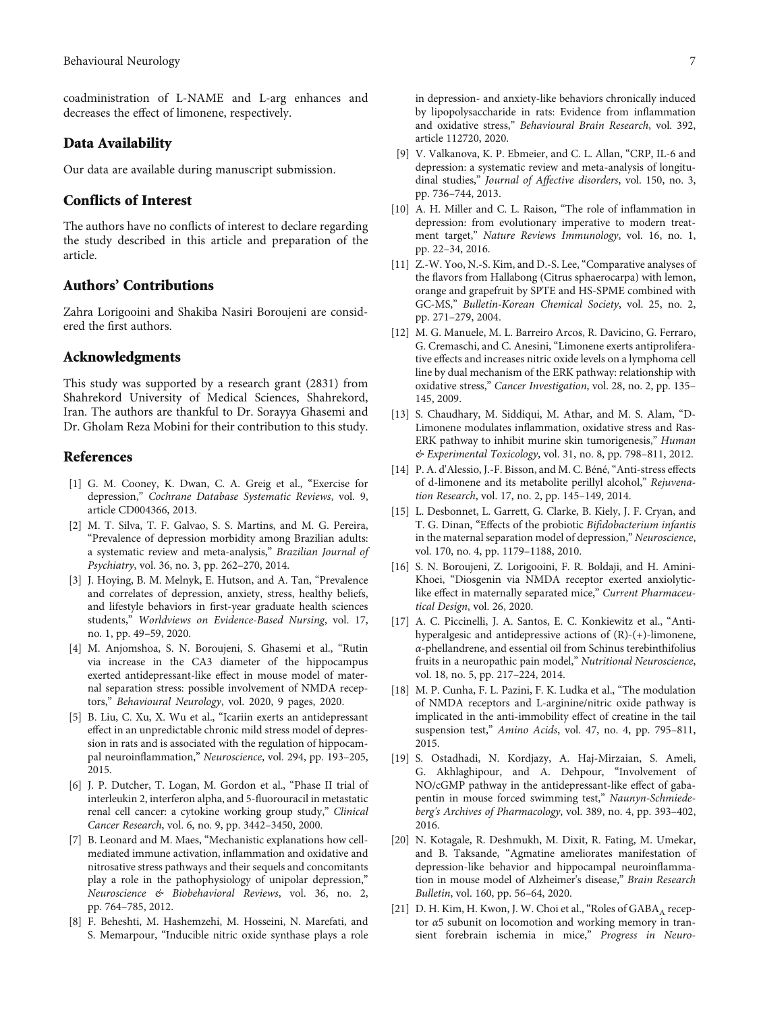<span id="page-6-0"></span>coadministration of L-NAME and L-arg enhances and decreases the effect of limonene, respectively.

#### Data Availability

Our data are available during manuscript submission.

#### Conflicts of Interest

The authors have no conflicts of interest to declare regarding the study described in this article and preparation of the article.

#### Authors' Contributions

Zahra Lorigooini and Shakiba Nasiri Boroujeni are considered the first authors.

#### Acknowledgments

This study was supported by a research grant (2831) from Shahrekord University of Medical Sciences, Shahrekord, Iran. The authors are thankful to Dr. Sorayya Ghasemi and Dr. Gholam Reza Mobini for their contribution to this study.

#### References

- [1] G. M. Cooney, K. Dwan, C. A. Greig et al., "Exercise for depression," Cochrane Database Systematic Reviews, vol. 9, article CD004366, 2013.
- [2] M. T. Silva, T. F. Galvao, S. S. Martins, and M. G. Pereira, "Prevalence of depression morbidity among Brazilian adults: a systematic review and meta-analysis," Brazilian Journal of Psychiatry, vol. 36, no. 3, pp. 262–270, 2014.
- [3] J. Hoying, B. M. Melnyk, E. Hutson, and A. Tan, "Prevalence and correlates of depression, anxiety, stress, healthy beliefs, and lifestyle behaviors in first-year graduate health sciences students," Worldviews on Evidence-Based Nursing, vol. 17, no. 1, pp. 49–59, 2020.
- [4] M. Anjomshoa, S. N. Boroujeni, S. Ghasemi et al., "Rutin via increase in the CA3 diameter of the hippocampus exerted antidepressant-like effect in mouse model of maternal separation stress: possible involvement of NMDA receptors," Behavioural Neurology, vol. 2020, 9 pages, 2020.
- [5] B. Liu, C. Xu, X. Wu et al., "Icariin exerts an antidepressant effect in an unpredictable chronic mild stress model of depression in rats and is associated with the regulation of hippocampal neuroinflammation," Neuroscience, vol. 294, pp. 193–205, 2015.
- [6] J. P. Dutcher, T. Logan, M. Gordon et al., "Phase II trial of interleukin 2, interferon alpha, and 5-fluorouracil in metastatic renal cell cancer: a cytokine working group study," Clinical Cancer Research, vol. 6, no. 9, pp. 3442–3450, 2000.
- [7] B. Leonard and M. Maes, "Mechanistic explanations how cellmediated immune activation, inflammation and oxidative and nitrosative stress pathways and their sequels and concomitants play a role in the pathophysiology of unipolar depression," Neuroscience & Biobehavioral Reviews, vol. 36, no. 2, pp. 764–785, 2012.
- [8] F. Beheshti, M. Hashemzehi, M. Hosseini, N. Marefati, and S. Memarpour, "Inducible nitric oxide synthase plays a role

in depression- and anxiety-like behaviors chronically induced by lipopolysaccharide in rats: Evidence from inflammation and oxidative stress," Behavioural Brain Research, vol. 392, article 112720, 2020.

- [9] V. Valkanova, K. P. Ebmeier, and C. L. Allan, "CRP, IL-6 and depression: a systematic review and meta-analysis of longitudinal studies," Journal of Affective disorders, vol. 150, no. 3, pp. 736–744, 2013.
- [10] A. H. Miller and C. L. Raison, "The role of inflammation in depression: from evolutionary imperative to modern treatment target," Nature Reviews Immunology, vol. 16, no. 1, pp. 22–34, 2016.
- [11] Z.-W. Yoo, N.-S. Kim, and D.-S. Lee, "Comparative analyses of the flavors from Hallabong (Citrus sphaerocarpa) with lemon, orange and grapefruit by SPTE and HS-SPME combined with GC-MS," Bulletin-Korean Chemical Society, vol. 25, no. 2, pp. 271–279, 2004.
- [12] M. G. Manuele, M. L. Barreiro Arcos, R. Davicino, G. Ferraro, G. Cremaschi, and C. Anesini, "Limonene exerts antiproliferative effects and increases nitric oxide levels on a lymphoma cell line by dual mechanism of the ERK pathway: relationship with oxidative stress," Cancer Investigation, vol. 28, no. 2, pp. 135– 145, 2009.
- [13] S. Chaudhary, M. Siddiqui, M. Athar, and M. S. Alam, "D-Limonene modulates inflammation, oxidative stress and Ras-ERK pathway to inhibit murine skin tumorigenesis," Human & Experimental Toxicology, vol. 31, no. 8, pp. 798–811, 2012.
- [14] P. A. d'Alessio, J.-F. Bisson, and M. C. Béné, "Anti-stress effects of d-limonene and its metabolite perillyl alcohol," Rejuvenation Research, vol. 17, no. 2, pp. 145–149, 2014.
- [15] L. Desbonnet, L. Garrett, G. Clarke, B. Kiely, J. F. Cryan, and T. G. Dinan, "Effects of the probiotic Bifidobacterium infantis in the maternal separation model of depression," Neuroscience, vol. 170, no. 4, pp. 1179–1188, 2010.
- [16] S. N. Boroujeni, Z. Lorigooini, F. R. Boldaji, and H. Amini-Khoei, "Diosgenin via NMDA receptor exerted anxiolyticlike effect in maternally separated mice," Current Pharmaceutical Design, vol. 26, 2020.
- [17] A. C. Piccinelli, J. A. Santos, E. C. Konkiewitz et al., "Antihyperalgesic and antidepressive actions of (R)-(+)-limonene, *α*-phellandrene, and essential oil from Schinus terebinthifolius fruits in a neuropathic pain model," Nutritional Neuroscience, vol. 18, no. 5, pp. 217–224, 2014.
- [18] M. P. Cunha, F. L. Pazini, F. K. Ludka et al., "The modulation of NMDA receptors and L-arginine/nitric oxide pathway is implicated in the anti-immobility effect of creatine in the tail suspension test," Amino Acids, vol. 47, no. 4, pp. 795–811, 2015.
- [19] S. Ostadhadi, N. Kordjazy, A. Haj-Mirzaian, S. Ameli, G. Akhlaghipour, and A. Dehpour, "Involvement of NO/cGMP pathway in the antidepressant-like effect of gabapentin in mouse forced swimming test," Naunyn-Schmiedeberg's Archives of Pharmacology, vol. 389, no. 4, pp. 393–402, 2016.
- [20] N. Kotagale, R. Deshmukh, M. Dixit, R. Fating, M. Umekar, and B. Taksande, "Agmatine ameliorates manifestation of depression-like behavior and hippocampal neuroinflammation in mouse model of Alzheimer's disease," Brain Research Bulletin, vol. 160, pp. 56–64, 2020.
- [21] D. H. Kim, H. Kwon, J. W. Choi et al., "Roles of GABA<sub>A</sub> receptor *α*5 subunit on locomotion and working memory in transient forebrain ischemia in mice," Progress in Neuro-